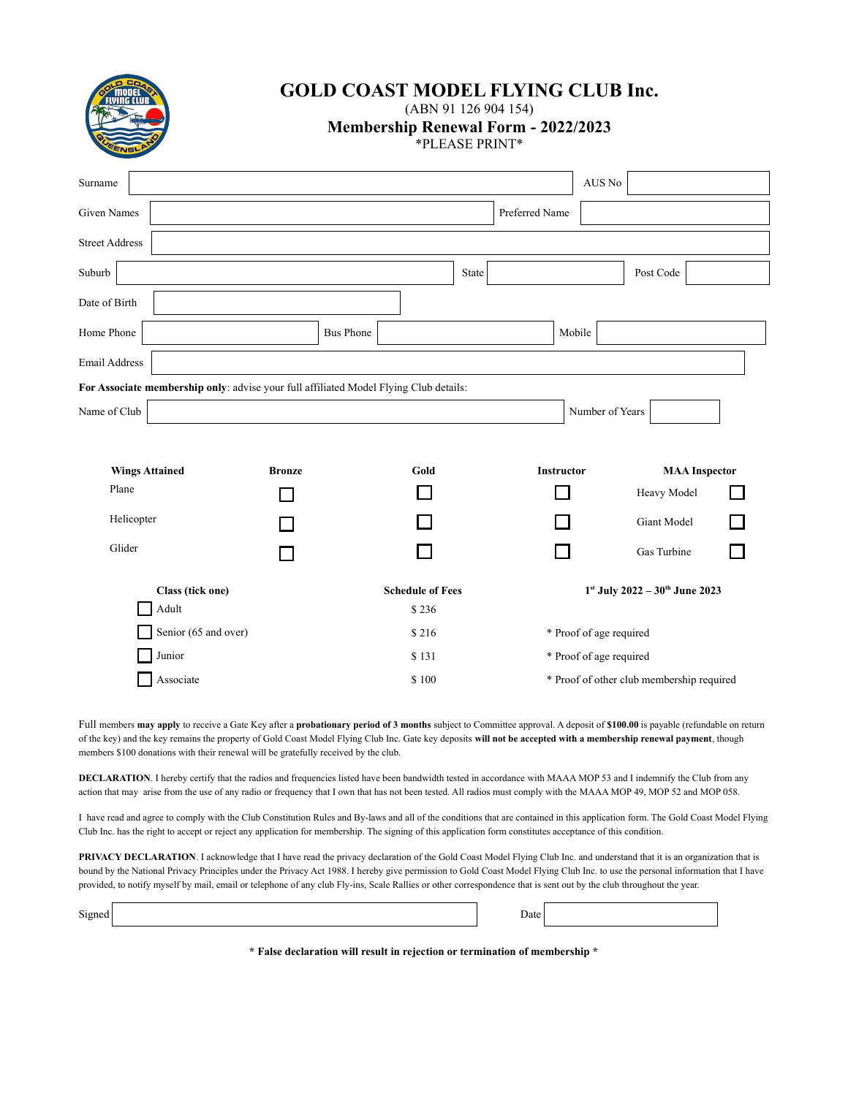

# **GOLD COAST MODEL FLYING CLUB Inc.**

(ABN 91 126 904 154)

**Membership Renewal Form - 2022/2023**

\*PLEASE PRINT\*

| Surname                                                                               |               |                  |                         |       |                   | AUS No                  |                                           |  |
|---------------------------------------------------------------------------------------|---------------|------------------|-------------------------|-------|-------------------|-------------------------|-------------------------------------------|--|
| <b>Given Names</b>                                                                    |               |                  |                         |       | Preferred Name    |                         |                                           |  |
| <b>Street Address</b>                                                                 |               |                  |                         |       |                   |                         |                                           |  |
| Suburb                                                                                |               |                  |                         | State |                   |                         | Post Code                                 |  |
| Date of Birth                                                                         |               |                  |                         |       |                   |                         |                                           |  |
| Home Phone                                                                            |               | <b>Bus Phone</b> |                         |       | Mobile            |                         |                                           |  |
| <b>Email Address</b>                                                                  |               |                  |                         |       |                   |                         |                                           |  |
| For Associate membership only: advise your full affiliated Model Flying Club details: |               |                  |                         |       |                   |                         |                                           |  |
| Name of Club                                                                          |               |                  |                         |       |                   | Number of Years         |                                           |  |
|                                                                                       |               |                  |                         |       |                   |                         |                                           |  |
| <b>Wings Attained</b>                                                                 | <b>Bronze</b> |                  | Gold                    |       | <b>Instructor</b> |                         | <b>MAA</b> Inspector                      |  |
| Plane                                                                                 |               |                  |                         |       |                   |                         | Heavy Model                               |  |
| Helicopter                                                                            |               |                  |                         |       |                   |                         | Giant Model                               |  |
| Glider                                                                                |               |                  |                         |       |                   |                         | Gas Turbine                               |  |
| Class (tick one)                                                                      |               |                  | <b>Schedule of Fees</b> |       |                   |                         | $1^{st}$ July 2022 - $30^{th}$ June 2023  |  |
| Adult                                                                                 |               |                  | \$236                   |       |                   |                         |                                           |  |
| Senior (65 and over)                                                                  |               |                  | \$216                   |       |                   | * Proof of age required |                                           |  |
| Junior                                                                                |               |                  | \$131                   |       |                   | * Proof of age required |                                           |  |
| Associate                                                                             |               |                  | \$100                   |       |                   |                         | * Proof of other club membership required |  |

Full members **may apply** to receive a Gate Key after a **probationary period of 3 months** subject to Committee approval. A deposit of **\$100.00** is payable (refundable on return of the key) and the key remains the property of Gold Coast Model Flying Club Inc. Gate key deposits **will not be accepted with a membership renewal payment**, though members \$100 donations with their renewal will be gratefully received by the club.

**DECLARATION**. I hereby certify that the radios and frequencies listed have been bandwidth tested in accordance with MAAA MOP 53 and I indemnify the Club from any action that may arise from the use of any radio or frequency that I own that has not been tested. All radios must comply with the MAAA MOP 49, MOP 52 and MOP 058.

I have read and agree to comply with the Club Constitution Rules and By-laws and all of the conditions that are contained in this application form. The Gold Coast Model Flying Club Inc. has the right to accept or reject any application for membership. The signing of this application form constitutes acceptance of this condition.

PRIVACY DECLARATION. I acknowledge that I have read the privacy declaration of the Gold Coast Model Flying Club Inc. and understand that it is an organization that is bound by the National Privacy Principles under the Privacy Act 1988. I hereby give permission to Gold Coast Model Flying Club Inc. to use the personal information that I have provided, to notify myself by mail, email or telephone of any club Fly-ins, Scale Rallies or other correspondence that is sent out by the club throughout the year.

| Signed |  | Jate∣ |  |
|--------|--|-------|--|
|--------|--|-------|--|

**\* False declaration will result in rejection or termination of membership \***